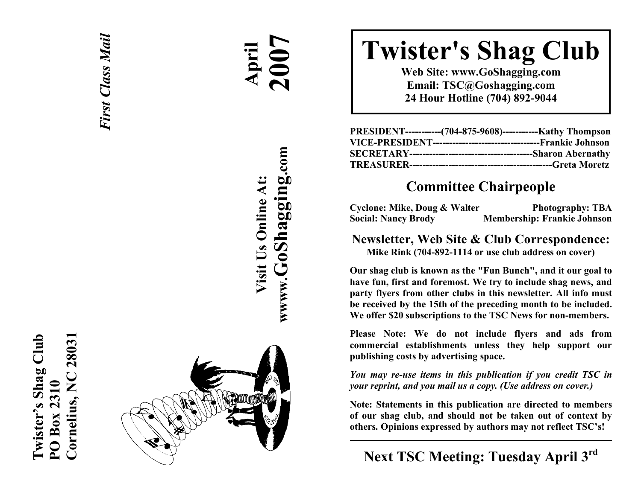



www.GoShagging.com **wwww.GoShagging.com** Visit Us Online At: **Visit Us Online At:**

## **Tw i ste r '**'s Shag Club

Web Site: www.GoShagging.com **E mai l : T S C @ Gos haggi ng. com 24 Hou r Hot l i n e (704) 892 -9044**

| PRESIDENT------------(704-875-9608)-------------Kathy Thompson |  |
|----------------------------------------------------------------|--|
|                                                                |  |
|                                                                |  |
|                                                                |  |

# **Committee Chairpeople**

| <b>Cyclone: Mike, Doug &amp; Walter</b> | <b>Photography: TBA</b>            |
|-----------------------------------------|------------------------------------|
| <b>Social: Nancy Brody</b>              | <b>Membership: Frankie Johnson</b> |

Newsletter, Web Site & Club Correspondence: Mike Rink (704-892-1114 or use club address on cover)

Our shag club is known as the "Fun Bunch", and it our goal to have fun, first and foremost. We try to include shag news, and party flyers from other clubs in this newsletter. All info must be received by the 15th of the preceding month to be included. We offer \$20 subscriptions to the TSC News for non-members.

Please Note: We do not include flyers and ads from commercial establishments unless they help support our publishing costs by advertising space.

You may re-use items in this publication if you credit TSC in your reprint, and you mail us a copy. (Use address on cover.)

Note: Statements in this publication are directed to members of our shag club, and should not be taken out of context by others. Opinions expressed by authors may not reflect TSC's!

Next TSC Meeting: Tuesday April 3<sup>rd</sup>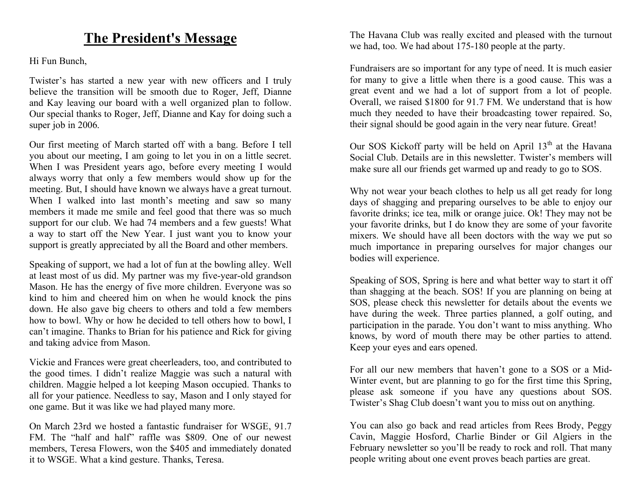## **The President's Message**

Hi Fun Bunch,

Twister's has started a new year with new officers and I truly believe the transition will be smooth due to Roger, Jeff, Dianne and Kay leaving our board with a well organized plan to follow. Our special thanks to Roger, Jeff, Dianne and Kay for doing such a super job in 2006.

Our first meeting of March started off with a bang. Before I tell you about our meeting, I am going to let you in on a little secret. When I was President years ago, before every meeting I would always worry that only a few members would show up for the meeting. But, I should have known we always have a great turnout. When I walked into last month's meeting and saw so many members it made me smile and feel good that there was so much support for our club. We had 74 members and a few guests! What a way to start off the New Year. I just want you to know your support is greatly appreciated by all the Board and other members.

Speaking of support, we had a lot of fun at the bowling alley. Well at least most of us did. My partner was my five-year-old grandson Mason. He has the energy of five more children. Everyone was so kind to him and cheered him on when he would knock the pins down. He also gave big cheers to others and told a few members how to bowl. Why or how he decided to tell others how to bowl, I can't imagine. Thanks to Brian for his patience and Rick for giving and taking advice from Mason.

Vickie and Frances were great cheerleaders, too, and contributed to the good times. I didn't realize Maggie was such a natural with children. Maggie helped a lot keeping Mason occupied. Thanks to all for your patience. Needless to say, Mason and I only stayed for one game. But it was like we had played many more.

On March 23rd we hosted a fantastic fundraiser for WSGE, 91.7 FM. The "half and half" raffle was \$809. One of our newest members, Teresa Flowers, won the \$405 and immediately donated it to WSGE. What a kind gesture. Thanks, Teresa.

The Havana Club was really excited and pleased with the turnout we had, too. We had about 175-180 people at the party.

Fundraisers are so important for any type of need. It is much easier for many to give a little when there is a good cause. This was a great event and we had a lot of support from a lot of people. Overall, we raised \$1800 for 91.7 FM. We understand that is how much they needed to have their broadcasting tower repaired. So, their signal should be good again in the very near future. Great!

Our SOS Kickoff party will be held on April  $13<sup>th</sup>$  at the Havana Social Club. Details are in this newsletter. Twister's members will make sure all our friends get warmed up and ready to go to SOS.

Why not wear your beach clothes to help us all get ready for long days of shagging and preparing ourselves to be able to enjoy our favorite drinks; ice tea, milk or orange juice. Ok! They may not be your favorite drinks, but I do know they are some of your favorite mixers. We should have all been doctors with the way we put so much importance in preparing ourselves for major changes our bodies will experience.

Speaking of SOS, Spring is here and what better way to start it off than shagging at the beach. SOS! If you are planning on being at SOS, please check this newsletter for details about the events we have during the week. Three parties planned, a golf outing, and participation in the parade. You don't want to miss anything. Who knows, by word of mouth there may be other parties to attend. Keep your eyes and ears opened.

For all our new members that haven't gone to a SOS or a Mid-Winter event, but are planning to go for the first time this Spring, please ask someone if you have any questions about SOS. Twister's Shag Club doesn't want you to miss out on anything.

You can also go back and read articles from Rees Brody, Peggy Cavin, Maggie Hosford, Charlie Binder or Gil Algiers in the February newsletter so you'll be ready to rock and roll. That many people writing about one event proves beach parties are great.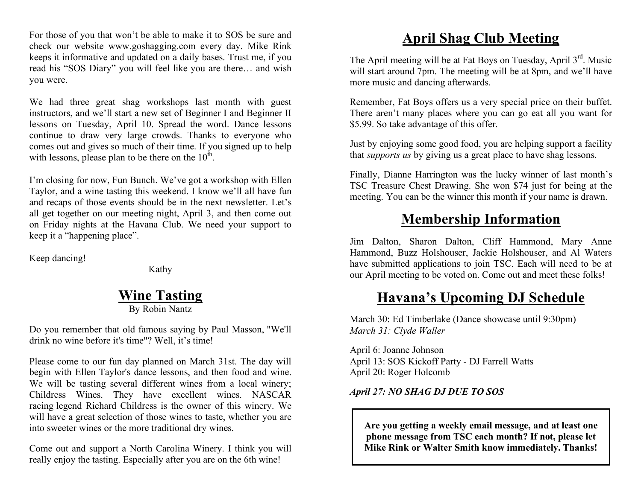For those of you that won't be able to make it to SOS be sure and check our website www.goshagging.com every day. Mike Rink keeps it informative and updated on a daily bases. Trust me, if you read his "SOS Diary" you will feel like you are there… and wish you were.

We had three great shag workshops last month with guest instructors, and we'll start a new set of Beginner I and Beginner II lessons on Tuesday, April 10. Spread the word. Dance lessons continue to draw very large crowds. Thanks to everyone who comes out and gives so much of their time. If you signed up to help with lessons, please plan to be there on the  $10^{th}$ .

I'm closing for now, Fun Bunch. We've got a workshop with Ellen Taylor, and a wine tasting this weekend. I know we'll all have fun and recaps of those events should be in the next newsletter. Let's all get together on our meeting night, April 3, and then come out on Friday nights at the Havana Club. We need your support to keep it a "happening place".

Keep dancing!

Kathy

## **Wine Tasting**

By Robin Nantz

Do you remember that old famous saying by Paul Masson, "We'll drink no wine before it's time"? Well, it's time!

Please come to our fun day planned on March 31st. The day will begin with Ellen Taylor's dance lessons, and then food and wine. We will be tasting several different wines from a local winery; Childress Wines. They have excellent wines. NASCAR racing legend Richard Childress is the owner of this winery. We will have a great selection of those wines to taste, whether you are into sweeter wines or the more traditional dry wines.

Come out and support a North Carolina Winery. I think you will really enjoy the tasting. Especially after you are on the 6th wine!

## **April Shag Club Meeting**

The April meeting will be at Fat Boys on Tuesday, April 3<sup>rd</sup>. Music will start around 7pm. The meeting will be at 8pm, and we'll have more music and dancing afterwards.

Remember, Fat Boys offers us a very special price on their buffet. There aren't many places where you can go eat all you want for \$5.99. So take advantage of this offer.

Just by enjoying some good food, you are helping support a facility that *supports us* by giving us a great place to have shag lessons.

Finally, Dianne Harrington was the lucky winner of last month's TSC Treasure Chest Drawing. She won \$74 just for being at the meeting. You can be the winner this month if your name is drawn.

## **Membership Information**

Jim Dalton, Sharon Dalton, Cliff Hammond, Mary Anne Hammond, Buzz Holshouser, Jackie Holshouser, and Al Waters have submitted applications to join TSC. Each will need to be at our April meeting to be voted on. Come out and meet these folks!

## **Havana's Upcoming DJ Schedule**

March 30: Ed Timberlake (Dance showcase until 9:30pm) *March 31: Clyde Waller*

April 6: Joanne Johnson April 13: SOS Kickoff Party - DJ Farrell Watts April 20: Roger Holcomb

#### *April 27: NO SHAG DJ DUE TO SOS*

**Are you getting a weekly email message, and at least one phone message from TSC each month? If not, please let Mike Rink or Walter Smith know immediately. Thanks!**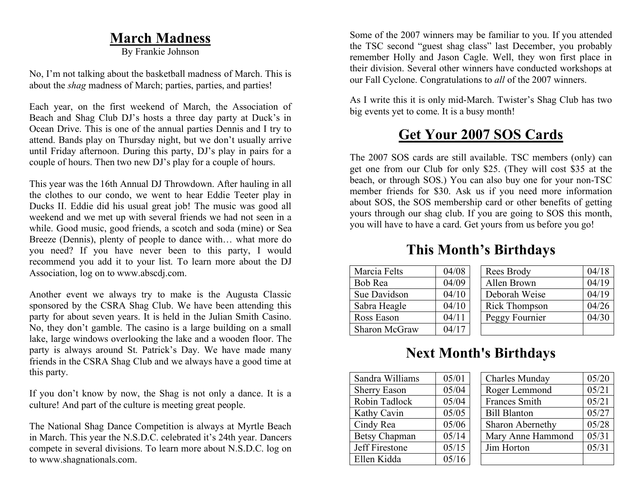## **March Madness**

By Frankie Johnson

No, I'm not talking about the basketball madness of March. This is about the *shag* madness of March; parties, parties, and parties!

Each year, on the first weekend of March, the Association of Beach and Shag Club DJ's hosts a three day party at Duck's in Ocean Drive. This is one of the annual parties Dennis and I try to attend. Bands play on Thursday night, but we don't usually arrive until Friday afternoon. During this party, DJ's play in pairs for a couple of hours. Then two new DJ's play for a couple of hours.

This year was the 16th Annual DJ Throwdown. After hauling in all the clothes to our condo, we went to hear Eddie Teeter play in Ducks II. Eddie did his usual great job! The music was good all weekend and we met up with several friends we had not seen in a while. Good music, good friends, a scotch and soda (mine) or Sea Breeze (Dennis), plenty of people to dance with… what more do you need? If you have never been to this party, I would recommend you add it to your list. To learn more about the DJ Association, log on to www.abscdj.com.

Another event we always try to make is the Augusta Classic sponsored by the CSRA Shag Club. We have been attending this party for about seven years. It is held in the Julian Smith Casino. No, they don't gamble. The casino is a large building on a small lake, large windows overlooking the lake and a wooden floor. The party is always around St. Patrick's Day. We have made many friends in the CSRA Shag Club and we always have a good time at this party.

If you don't know by now, the Shag is not only a dance. It is a culture! And part of the culture is meeting great people.

The National Shag Dance Competition is always at Myrtle Beach in March. This year the N.S.D.C. celebrated it's 24th year. Dancers compete in several divisions. To learn more about N.S.D.C. log on to www.shagnationals.com.

Some of the 2007 winners may be familiar to you. If you attended the TSC second "guest shag class" last December, you probably remember Holly and Jason Cagle. Well, they won first place in their division. Several other winners have conducted workshops at our Fall Cyclone. Congratulations to *all* of the 2007 winners.

As I write this it is only mid-March. Twister's Shag Club has two big events yet to come. It is a busy month!

## **Get Your 2007 SOS Cards**

The 2007 SOS cards are still available. TSC members (only) can get one from our Club for only \$25. (They will cost \$35 at the beach, or through SOS.) You can also buy one for your non-TSC member friends for \$30. Ask us if you need more information about SOS, the SOS membership card or other benefits of getting yours through our shag club. If you are going to SOS this month, you will have to have a card. Get yours from us before you go!

**This Month's Birthdays**

| Marcia Felts         | 04/08 | Rees Brody     | 04/18 |
|----------------------|-------|----------------|-------|
| Bob Rea              | 04/09 | Allen Brown    | 04/19 |
| Sue Davidson         | 04/10 | Deborah Weise  | 04/19 |
| Sabra Heagle         | 04/10 | Rick Thompson  | 04/26 |
| Ross Eason           | 04/11 | Peggy Fournier | 04/30 |
| <b>Sharon McGraw</b> | 04/17 |                |       |

## **Next Month's Birthdays**

| Sandra Williams       | 05/01 |
|-----------------------|-------|
| <b>Sherry Eason</b>   | 05/04 |
| Robin Tadlock         | 05/04 |
| Kathy Cavin           | 05/05 |
| Cindy Rea             | 05/06 |
| <b>Betsy Chapman</b>  | 05/14 |
| <b>Jeff Firestone</b> | 05/15 |
| Ellen Kidda           | 05/16 |
|                       |       |

| Sandra Williams      | 05/01 | <b>Charles Munday</b> | 05/20 |
|----------------------|-------|-----------------------|-------|
| <b>Sherry Eason</b>  | 05/04 | Roger Lemmond         | 05/21 |
| Robin Tadlock        | 05/04 | Frances Smith         | 05/21 |
| Kathy Cavin          | 05/05 | <b>Bill Blanton</b>   | 05/27 |
| Cindy Rea            | 05/06 | Sharon Abernethy      | 05/28 |
| <b>Betsy Chapman</b> | 05/14 | Mary Anne Hammond     | 05/31 |
| Jeff Firestone       | 05/15 | Jim Horton            | 05/31 |
| Ellen Kidda          | 05/16 |                       |       |
|                      |       |                       |       |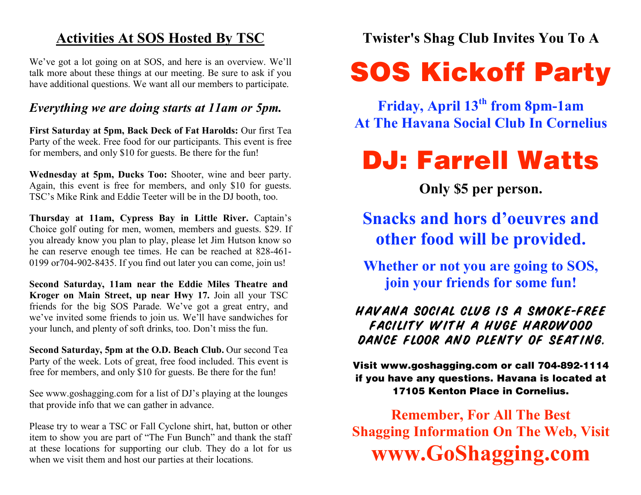## **Activities At SOS Hosted By TSC**

We've got a lot going on at SOS, and here is an overview. We'll talk more about these things at our meeting. Be sure to ask if you have additional questions. We want all our members to participate.

## *Everything we are doing starts at 11am or 5pm.*

**First Saturday at 5pm, Back Deck of Fat Harolds:** Our first Tea Party of the week. Free food for our participants. This event is free for members, and only \$10 for guests. Be there for the fun!

**Wednesday at 5pm, Ducks Too:** Shooter, wine and beer party. Again, this event is free for members, and only \$10 for guests. TSC's Mike Rink and Eddie Teeter will be in the DJ booth, too.

**Thursday at 11am, Cypress Bay in Little River.** Captain's Choice golf outing for men, women, members and guests. \$29. If you already know you plan to play, please let Jim Hutson know so he can reserve enough tee times. He can be reached at 828-461- 0199 or704-902-8435. If you find out later you can come, join us!

**Second Saturday, 11am near the Eddie Miles Theatre and Kroger on Main Street, up near Hwy 17.** Join all your TSC friends for the big SOS Parade. We've got a great entry, and we've invited some friends to join us. We'll have sandwiches for your lunch, and plenty of soft drinks, too. Don't miss the fun.

**Second Saturday, 5pm at the O.D. Beach Club.** Our second Tea Party of the week. Lots of great, free food included. This event is free for members, and only \$10 for guests. Be there for the fun!

See www.goshagging.com for a list of DJ's playing at the lounges that provide info that we can gather in advance.

Please try to wear a TSC or Fall Cyclone shirt, hat, button or other item to show you are part of "The Fun Bunch" and thank the staff at these locations for supporting our club. They do a lot for us when we visit them and host our parties at their locations.

**Twister's Shag Club Invites You To A**

# SOS Kickoff Party

**Friday, April 13th from 8pm-1am At The Havana Social Club In Cornelius**

# DJ: Farrell Watts

**Only \$5 per person.**

**Snacks and hors d'oeuvres and other food will be provided.**

**Whether or not you are going to SOS, join your friends for some fun!**

## HAVANA SOCIAL CLUB IS A SMOKE-FREE FACILITY WITH A HUGE HARDWOOD DANCE FLOOR AND PLENTY OF SEATING.

Visit www.goshagging.com or call 704-892-1114 if you have any questions. Havana is located at 17105 Kenton Place in Cornelius.

**Remember, For All The Best Shagging Information On The Web, Visit www.GoShagging.com**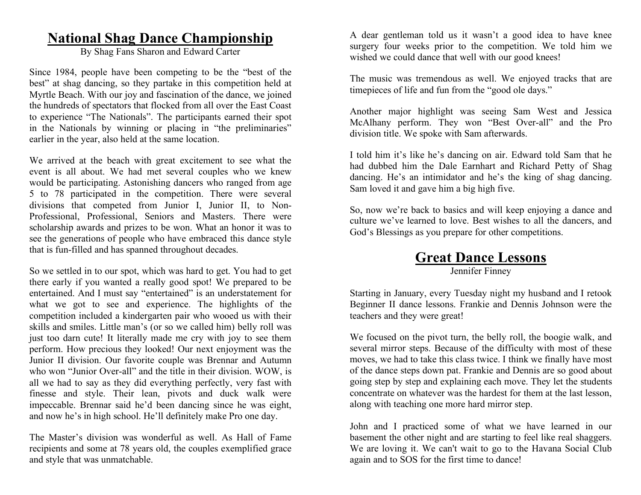## **National Shag Dance Championship**

By Shag Fans Sharon and Edward Carter

Since 1984, people have been competing to be the "best of the best" at shag dancing, so they partake in this competition held at Myrtle Beach. With our joy and fascination of the dance, we joined the hundreds of spectators that flocked from all over the East Coast to experience "The Nationals". The participants earned their spot in the Nationals by winning or placing in "the preliminaries" earlier in the year, also held at the same location.

We arrived at the beach with great excitement to see what the event is all about. We had met several couples who we knew would be participating. Astonishing dancers who ranged from age 5 to 78 participated in the competition. There were several divisions that competed from Junior I, Junior II, to Non-Professional, Professional, Seniors and Masters. There were scholarship awards and prizes to be won. What an honor it was to see the generations of people who have embraced this dance style that is fun-filled and has spanned throughout decades.

So we settled in to our spot, which was hard to get. You had to get there early if you wanted a really good spot! We prepared to be entertained. And I must say "entertained" is an understatement for what we got to see and experience. The highlights of the competition included a kindergarten pair who wooed us with their skills and smiles. Little man's (or so we called him) belly roll was just too darn cute! It literally made me cry with joy to see them perform. How precious they looked! Our next enjoyment was the Junior II division. Our favorite couple was Brennar and Autumn who won "Junior Over-all" and the title in their division. WOW, is all we had to say as they did everything perfectly, very fast with finesse and style. Their lean, pivots and duck walk were impeccable. Brennar said he'd been dancing since he was eight, and now he's in high school. He'll definitely make Pro one day.

The Master's division was wonderful as well. As Hall of Fame recipients and some at 78 years old, the couples exemplified grace and style that was unmatchable.

A dear gentleman told us it wasn't a good idea to have knee surgery four weeks prior to the competition. We told him we wished we could dance that well with our good knees!

The music was tremendous as well. We enjoyed tracks that are timepieces of life and fun from the "good ole days."

Another major highlight was seeing Sam West and Jessica McAlhany perform. They won "Best Over-all" and the Pro division title. We spoke with Sam afterwards.

I told him it's like he's dancing on air. Edward told Sam that he had dubbed him the Dale Earnhart and Richard Petty of Shag dancing. He's an intimidator and he's the king of shag dancing. Sam loved it and gave him a big high five.

So, now we're back to basics and will keep enjoying a dance and culture we've learned to love. Best wishes to all the dancers, and God's Blessings as you prepare for other competitions.

**Great Dance Lessons**

Jennifer Finney

Starting in January, every Tuesday night my husband and I retook Beginner II dance lessons. Frankie and Dennis Johnson were the teachers and they were great!

We focused on the pivot turn, the belly roll, the boogie walk, and several mirror steps. Because of the difficulty with most of these moves, we had to take this class twice. I think we finally have most of the dance steps down pat. Frankie and Dennis are so good about going step by step and explaining each move. They let the students concentrate on whatever was the hardest for them at the last lesson, along with teaching one more hard mirror step.

John and I practiced some of what we have learned in our basement the other night and are starting to feel like real shaggers. We are loving it. We can't wait to go to the Havana Social Club again and to SOS for the first time to dance!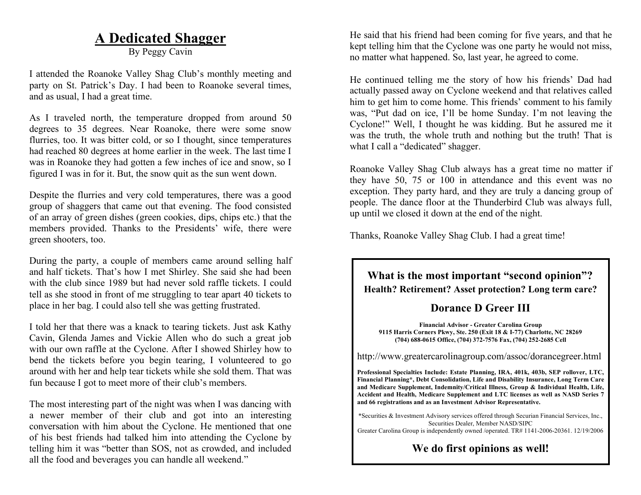## **A Dedicated Shagger**

By Peggy Cavin

I attended the Roanoke Valley Shag Club's monthly meeting and party on St. Patrick's Day. I had been to Roanoke several times, and as usual, I had a great time.

As I traveled north, the temperature dropped from around 50 degrees to 35 degrees. Near Roanoke, there were some snow flurries, too. It was bitter cold, or so I thought, since temperatures had reached 80 degrees at home earlier in the week. The last time I was in Roanoke they had gotten a few inches of ice and snow, so I figured I was in for it. But, the snow quit as the sun went down.

Despite the flurries and very cold temperatures, there was a good group of shaggers that came out that evening. The food consisted of an array of green dishes (green cookies, dips, chips etc.) that the members provided. Thanks to the Presidents' wife, there were green shooters, too.

During the party, a couple of members came around selling half and half tickets. That's how I met Shirley. She said she had been with the club since 1989 but had never sold raffle tickets. I could tell as she stood in front of me struggling to tear apart 40 tickets to place in her bag. I could also tell she was getting frustrated.

I told her that there was a knack to tearing tickets. Just ask Kathy Cavin, Glenda James and Vickie Allen who do such a great job with our own raffle at the Cyclone. After I showed Shirley how to bend the tickets before you begin tearing, I volunteered to go around with her and help tear tickets while she sold them. That was fun because I got to meet more of their club's members.

The most interesting part of the night was when I was dancing with a newer member of their club and got into an interesting conversation with him about the Cyclone. He mentioned that one of his best friends had talked him into attending the Cyclone by telling him it was "better than SOS, not as crowded, and included all the food and beverages you can handle all weekend."

He said that his friend had been coming for five years, and that he kept telling him that the Cyclone was one party he would not miss, no matter what happened. So, last year, he agreed to come.

He continued telling me the story of how his friends' Dad had actually passed away on Cyclone weekend and that relatives called him to get him to come home. This friends' comment to his family was, "Put dad on ice, I'll be home Sunday. I'm not leaving the Cyclone!" Well, I thought he was kidding. But he assured me it was the truth, the whole truth and nothing but the truth! That is what I call a "dedicated" shagger.

Roanoke Valley Shag Club always has a great time no matter if they have 50, 75 or 100 in attendance and this event was no exception. They party hard, and they are truly a dancing group of people. The dance floor at the Thunderbird Club was always full, up until we closed it down at the end of the night.

Thanks, Roanoke Valley Shag Club. I had a great time!



http://www.greatercarolinagroup.com/assoc/dorancegreer.html

**Professional Specialties Include: Estate Planning, IRA, 401k, 403b, SEP rollover, LTC, Financial Planning\*, Debt Consolidation, Life and Disability Insurance, Long Term Care and Medicare Supplement, Indemnity/Critical Illness, Group & Individual Health, Life, Accident and Health, Medicare Supplement and LTC licenses as well as NASD Series 7 and 66 registrations and as an Investment Advisor Representative.**

\*Securities & Investment Advisory services offered through Securian Financial Services, Inc., Securities Dealer, Member NASD/SIPC Greater Carolina Group is independently owned /operated. TR# 1141-2006-20361. 12/19/2006

**We do first opinions as well!**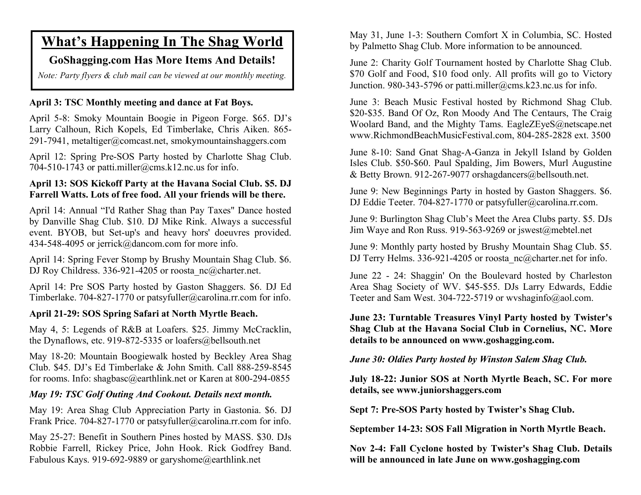## **What's Happening In The Shag World**

#### **GoShagging.com Has More Items And Details!**

*Note: Party flyers & club mail can be viewed at our monthly meeting.*

#### **April 3: TSC Monthly meeting and dance at Fat Boys.**

April 5-8: Smoky Mountain Boogie in Pigeon Forge. \$65. DJ's Larry Calhoun, Rich Kopels, Ed Timberlake, Chris Aiken. 865- 291-7941, metaltiger@comcast.net, smokymountainshaggers.com

April 12: Spring Pre-SOS Party hosted by Charlotte Shag Club. 704-510-1743 or patti.miller@cms.k12.nc.us for info.

#### **April 13: SOS Kickoff Party at the Havana Social Club. \$5. DJ Farrell Watts. Lots of free food. All your friends will be there.**

April 14: Annual "I'd Rather Shag than Pay Taxes" Dance hosted by Danville Shag Club. \$10. DJ Mike Rink. Always a successful event. BYOB, but Set-up's and heavy hors' doeuvres provided. 434-548-4095 or jerrick@dancom.com for more info.

April 14: Spring Fever Stomp by Brushy Mountain Shag Club. \$6. DJ Roy Childress. 336-921-4205 or roosta\_nc@charter.net.

April 14: Pre SOS Party hosted by Gaston Shaggers. \$6. DJ Ed Timberlake. 704-827-1770 or patsyfuller@carolina.rr.com for info.

#### **April 21-29: SOS Spring Safari at North Myrtle Beach.**

May 4, 5: Legends of R&B at Loafers. \$25. Jimmy McCracklin, the Dynaflows, etc. 919-872-5335 or loafers@bellsouth.net

May 18-20: Mountain Boogiewalk hosted by Beckley Area Shag Club. \$45. DJ's Ed Timberlake & John Smith. Call 888-259-8545 for rooms. Info: shagbasc@earthlink.net or Karen at 800-294-0855

#### *May 19: TSC Golf Outing And Cookout. Details next month.*

May 19: Area Shag Club Appreciation Party in Gastonia. \$6. DJ Frank Price. 704-827-1770 or patsyfuller@carolina.rr.com for info.

May 25-27: Benefit in Southern Pines hosted by MASS. \$30. DJs Robbie Farrell, Rickey Price, John Hook. Rick Godfrey Band. Fabulous Kays. 919-692-9889 or garyshome@earthlink.net

May 31, June 1-3: Southern Comfort X in Columbia, SC. Hosted by Palmetto Shag Club. More information to be announced.

June 2: Charity Golf Tournament hosted by Charlotte Shag Club. \$70 Golf and Food, \$10 food only. All profits will go to Victory Junction. 980-343-5796 or patti.miller@cms.k23.nc.us for info.

June 3: Beach Music Festival hosted by Richmond Shag Club. \$20-\$35. Band Of Oz, Ron Moody And The Centaurs, The Craig Woolard Band, and the Mighty Tams. EagleZEyeS@netscape.net www.RichmondBeachMusicFestival.com, 804-285-2828 ext. 3500

June 8-10: Sand Gnat Shag-A-Ganza in Jekyll Island by Golden Isles Club. \$50-\$60. Paul Spalding, Jim Bowers, Murl Augustine & Betty Brown. 912-267-9077 orshagdancers@bellsouth.net.

June 9: New Beginnings Party in hosted by Gaston Shaggers. \$6. DJ Eddie Teeter. 704-827-1770 or patsyfuller@carolina.rr.com.

June 9: Burlington Shag Club's Meet the Area Clubs party. \$5. DJs Jim Waye and Ron Russ. 919-563-9269 or jswest@mebtel.net

June 9: Monthly party hosted by Brushy Mountain Shag Club. \$5. DJ Terry Helms. 336-921-4205 or roosta\_nc@charter.net for info.

June 22 - 24: Shaggin' On the Boulevard hosted by Charleston Area Shag Society of WV. \$45-\$55. DJs Larry Edwards, Eddie Teeter and Sam West. 304-722-5719 or wvshaginfo@aol.com.

#### **June 23: Turntable Treasures Vinyl Party hosted by Twister's Shag Club at the Havana Social Club in Cornelius, NC. More details to be announced on www.goshagging.com.**

*June 30: Oldies Party hosted by Winston Salem Shag Club.*

**July 18-22: Junior SOS at North Myrtle Beach, SC. For more details, see www.juniorshaggers.com**

**Sept 7: Pre-SOS Party hosted by Twister's Shag Club.**

**September 14-23: SOS Fall Migration in North Myrtle Beach.**

**Nov 2-4: Fall Cyclone hosted by Twister's Shag Club. Details will be announced in late June on www.goshagging.com**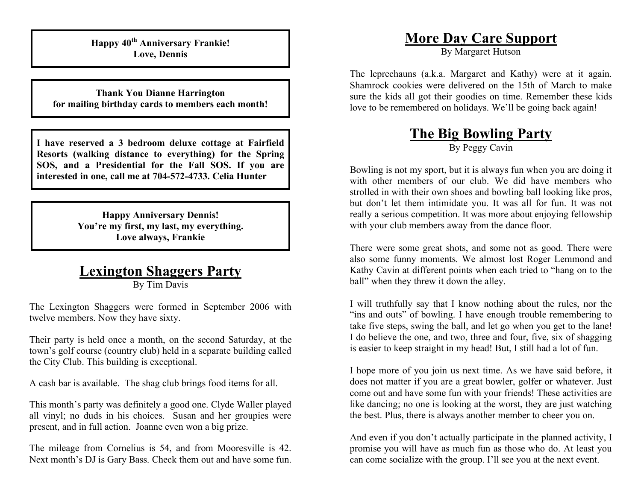**Happy 40th Anniversary Frankie! Love, Dennis**

**Thank You Dianne Harrington for mailing birthday cards to members each month!**

**I have reserved a 3 bedroom deluxe cottage at Fairfield Resorts (walking distance to everything) for the Spring SOS, and a Presidential for the Fall SOS. If you are interested in one, call me at 704-572-4733. Celia Hunter**

> **Happy Anniversary Dennis! You're my first, my last, my everything. Love always, Frankie**

## **Lexington Shaggers Party**

By Tim Davis

The Lexington Shaggers were formed in September 2006 with twelve members. Now they have sixty.

Their party is held once a month, on the second Saturday, at the town's golf course (country club) held in a separate building called the City Club. This building is exceptional.

A cash bar is available. The shag club brings food items for all.

This month's party was definitely a good one. Clyde Waller played all vinyl; no duds in his choices. Susan and her groupies were present, and in full action. Joanne even won a big prize.

The mileage from Cornelius is 54, and from Mooresville is 42. Next month's DJ is Gary Bass. Check them out and have some fun.

## **More Day Care Support**

By Margaret Hutson

The leprechauns (a.k.a. Margaret and Kathy) were at it again. Shamrock cookies were delivered on the 15th of March to make sure the kids all got their goodies on time. Remember these kids love to be remembered on holidays. We'll be going back again!

## **The Big Bowling Party**

By Peggy Cavin

Bowling is not my sport, but it is always fun when you are doing it with other members of our club. We did have members who strolled in with their own shoes and bowling ball looking like pros, but don't let them intimidate you. It was all for fun. It was not really a serious competition. It was more about enjoying fellowship with your club members away from the dance floor.

There were some great shots, and some not as good. There were also some funny moments. We almost lost Roger Lemmond and Kathy Cavin at different points when each tried to "hang on to the ball" when they threw it down the alley.

I will truthfully say that I know nothing about the rules, nor the "ins and outs" of bowling. I have enough trouble remembering to take five steps, swing the ball, and let go when you get to the lane! I do believe the one, and two, three and four, five, six of shagging is easier to keep straight in my head! But, I still had a lot of fun.

I hope more of you join us next time. As we have said before, it does not matter if you are a great bowler, golfer or whatever. Just come out and have some fun with your friends! These activities are like dancing; no one is looking at the worst, they are just watching the best. Plus, there is always another member to cheer you on.

And even if you don't actually participate in the planned activity, I promise you will have as much fun as those who do. At least you can come socialize with the group. I'll see you at the next event.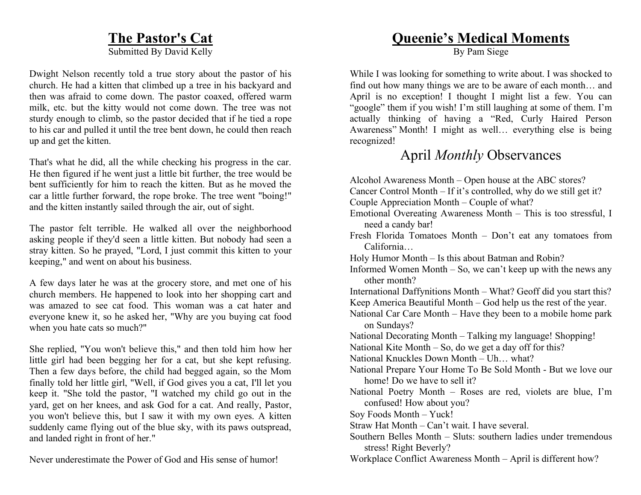### **The Pastor's Cat**

Submitted By David Kelly

Dwight Nelson recently told a true story about the pastor of his church. He had a kitten that climbed up a tree in his backyard and then was afraid to come down. The pastor coaxed, offered warm milk, etc. but the kitty would not come down. The tree was not sturdy enough to climb, so the pastor decided that if he tied a rope to his car and pulled it until the tree bent down, he could then reach up and get the kitten.

That's what he did, all the while checking his progress in the car. He then figured if he went just a little bit further, the tree would be bent sufficiently for him to reach the kitten. But as he moved the car a little further forward, the rope broke. The tree went "boing!" and the kitten instantly sailed through the air, out of sight.

The pastor felt terrible. He walked all over the neighborhood asking people if they'd seen a little kitten. But nobody had seen a stray kitten. So he prayed, "Lord, I just commit this kitten to your keeping," and went on about his business.

A few days later he was at the grocery store, and met one of his church members. He happened to look into her shopping cart and was amazed to see cat food. This woman was a cat hater and everyone knew it, so he asked her, "Why are you buying cat food when you hate cats so much?"

She replied, "You won't believe this," and then told him how her little girl had been begging her for a cat, but she kept refusing. Then a few days before, the child had begged again, so the Mom finally told her little girl, "Well, if God gives you a cat, I'll let you keep it. "She told the pastor, "I watched my child go out in the yard, get on her knees, and ask God for a cat. And really, Pastor, you won't believe this, but I saw it with my own eyes. A kitten suddenly came flying out of the blue sky, with its paws outspread, and landed right in front of her."

Never underestimate the Power of God and His sense of humor!

## **Queenie's Medical Moments**

By Pam Siege

While I was looking for something to write about. I was shocked to find out how many things we are to be aware of each month… and April is no exception! I thought I might list a few. You can "google" them if you wish! I'm still laughing at some of them. I'm actually thinking of having a "Red, Curly Haired Person Awareness" Month! I might as well… everything else is being recognized!

## April *Monthly* Observances

Alcohol Awareness Month – Open house at the ABC stores?

Cancer Control Month – If it's controlled, why do we still get it?

Couple Appreciation Month – Couple of what?

- Emotional Overeating Awareness Month This is too stressful, I need a candy bar!
- Fresh Florida Tomatoes Month Don't eat any tomatoes from California…

Holy Humor Month – Is this about Batman and Robin?

Informed Women Month – So, we can't keep up with the news any other month?

International Daffynitions Month – What? Geoff did you start this?

Keep America Beautiful Month – God help us the rest of the year.

National Car Care Month – Have they been to a mobile home park on Sundays?

National Decorating Month – Talking my language! Shopping!

National Kite Month – So, do we get a day off for this?

National Knuckles Down Month – Uh… what?

National Prepare Your Home To Be Sold Month - But we love our home! Do we have to sell it?

National Poetry Month – Roses are red, violets are blue, I'm confused! How about you?

Soy Foods Month – Yuck!

Straw Hat Month – Can't wait. I have several.

Southern Belles Month – Sluts: southern ladies under tremendous stress! Right Beverly?

Workplace Conflict Awareness Month – April is different how?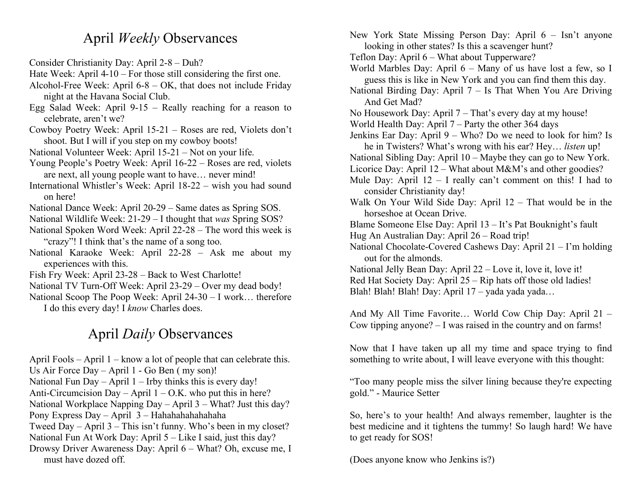## April *Weekly* Observances

Consider Christianity Day: April 2-8 – Duh?

- Hate Week: April 4-10 For those still considering the first one.
- Alcohol-Free Week: April 6-8 OK, that does not include Friday night at the Havana Social Club.
- Egg Salad Week: April 9-15 Really reaching for a reason to celebrate, aren't we?
- Cowboy Poetry Week: April 15-21 Roses are red, Violets don't shoot. But I will if you step on my cowboy boots!
- National Volunteer Week: April 15-21 Not on your life.
- Young People's Poetry Week: April 16-22 Roses are red, violets are next, all young people want to have… never mind!
- International Whistler's Week: April 18-22 wish you had sound on here!
- National Dance Week: April 20-29 Same dates as Spring SOS.
- National Wildlife Week: 21-29 I thought that *was* Spring SOS?
- National Spoken Word Week: April 22-28 The word this week is "crazy"! I think that's the name of a song too.
- National Karaoke Week: April 22-28 Ask me about my experiences with this.
- Fish Fry Week: April 23-28 Back to West Charlotte!
- National TV Turn-Off Week: April 23-29 Over my dead body!
- National Scoop The Poop Week: April 24-30 I work… therefore I do this every day! I *know* Charles does.

# April *Daily* Observances

- April Fools April 1 know a lot of people that can celebrate this.
- Us Air Force Day April 1 Go Ben ( my son)!
- National Fun Day April  $1$  Irby thinks this is every day!
- Anti-Circumcision Day April  $1 O.K$ , who put this in here?
- National Workplace Napping Day April 3 What? Just this day?
- Pony Express Day April 3 Hahahahahahahaha
- Tweed Day April 3 This isn't funny. Who's been in my closet?
- National Fun At Work Day: April 5 Like I said, just this day?
- Drowsy Driver Awareness Day: April 6 What? Oh, excuse me, I must have dozed off.

New York State Missing Person Day: April 6 – Isn't anyone looking in other states? Is this a scavenger hunt?

- Teflon Day: April 6 What about Tupperware?
- World Marbles Day: April 6 Many of us have lost a few, so I guess this is like in New York and you can find them this day.
- National Birding Day: April 7 Is That When You Are Driving And Get Mad?
- No Housework Day: April 7 That's every day at my house!
- World Health Day: April 7 Party the other 364 days
- Jenkins Ear Day: April 9 Who? Do we need to look for him? Is he in Twisters? What's wrong with his ear? Hey… *listen* up!
- National Sibling Day: April 10 Maybe they can go to New York.
- Licorice Day: April 12 What about M&M's and other goodies?
- Mule Day: April  $12 I$  really can't comment on this! I had to consider Christianity day!
- Walk On Your Wild Side Day: April 12 That would be in the horseshoe at Ocean Drive.
- Blame Someone Else Day: April 13 It's Pat Bouknight's fault
- Hug An Australian Day: April 26 Road trip!
- National Chocolate-Covered Cashews Day: April 21 I'm holding out for the almonds.
- National Jelly Bean Day: April 22 Love it, love it, love it! Red Hat Society Day: April 25 – Rip hats off those old ladies! Blah! Blah! Blah! Day: April 17 – yada yada yada...

And My All Time Favorite… World Cow Chip Day: April 21 – Cow tipping anyone? – I was raised in the country and on farms!

Now that I have taken up all my time and space trying to find something to write about, I will leave everyone with this thought:

"Too many people miss the silver lining because they're expecting gold." - Maurice Setter

So, here's to your health! And always remember, laughter is the best medicine and it tightens the tummy! So laugh hard! We have to get ready for SOS!

(Does anyone know who Jenkins is?)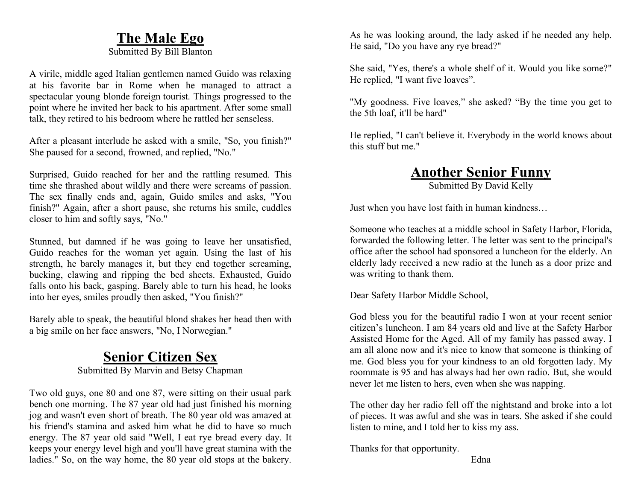## **The Male Ego**

Submitted By Bill Blanton

A virile, middle aged Italian gentlemen named Guido was relaxing at his favorite bar in Rome when he managed to attract a spectacular young blonde foreign tourist. Things progressed to the point where he invited her back to his apartment. After some small talk, they retired to his bedroom where he rattled her senseless.

After a pleasant interlude he asked with a smile, "So, you finish?" She paused for a second, frowned, and replied, "No."

Surprised, Guido reached for her and the rattling resumed. This time she thrashed about wildly and there were screams of passion. The sex finally ends and, again, Guido smiles and asks, "You finish?" Again, after a short pause, she returns his smile, cuddles closer to him and softly says, "No."

Stunned, but damned if he was going to leave her unsatisfied, Guido reaches for the woman yet again. Using the last of his strength, he barely manages it, but they end together screaming, bucking, clawing and ripping the bed sheets. Exhausted, Guido falls onto his back, gasping. Barely able to turn his head, he looks into her eyes, smiles proudly then asked, "You finish?"

Barely able to speak, the beautiful blond shakes her head then with a big smile on her face answers, "No, I Norwegian."

## **Senior Citizen Sex**

#### Submitted By Marvin and Betsy Chapman

Two old guys, one 80 and one 87, were sitting on their usual park bench one morning. The 87 year old had just finished his morning jog and wasn't even short of breath. The 80 year old was amazed at his friend's stamina and asked him what he did to have so much energy. The 87 year old said "Well, I eat rye bread every day. It keeps your energy level high and you'll have great stamina with the ladies." So, on the way home, the 80 year old stops at the bakery.

As he was looking around, the lady asked if he needed any help. He said, "Do you have any rye bread?"

She said, "Yes, there's a whole shelf of it. Would you like some?" He replied, "I want five loaves".

"My goodness. Five loaves," she asked? "By the time you get to the 5th loaf, it'll be hard"

He replied, "I can't believe it. Everybody in the world knows about this stuff but me."

## **Another Senior Funny**

Submitted By David Kelly

Just when you have lost faith in human kindness…

Someone who teaches at a middle school in Safety Harbor, Florida, forwarded the following letter. The letter was sent to the principal's office after the school had sponsored a luncheon for the elderly. An elderly lady received a new radio at the lunch as a door prize and was writing to thank them.

Dear Safety Harbor Middle School,

God bless you for the beautiful radio I won at your recent senior citizen's luncheon. I am 84 years old and live at the Safety Harbor Assisted Home for the Aged. All of my family has passed away. I am all alone now and it's nice to know that someone is thinking of me. God bless you for your kindness to an old forgotten lady. My roommate is 95 and has always had her own radio. But, she would never let me listen to hers, even when she was napping.

The other day her radio fell off the nightstand and broke into a lot of pieces. It was awful and she was in tears. She asked if she could listen to mine, and I told her to kiss my ass.

Thanks for that opportunity.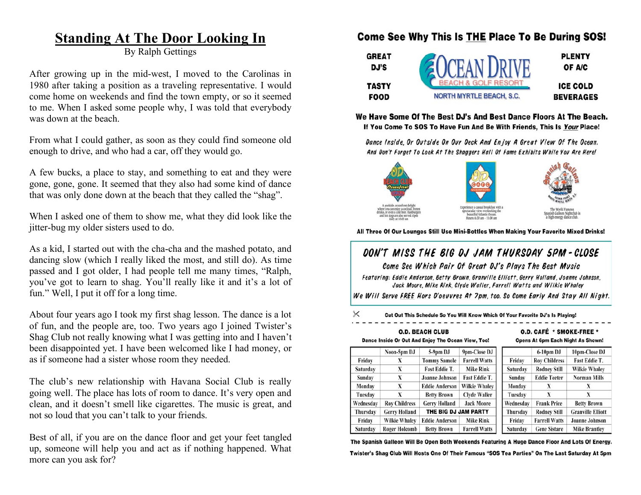## **Standing At The Door Looking In**

By Ralph Gettings

After growing up in the mid-west, I moved to the Carolinas in 1980 after taking a position as a traveling representative. I would come home on weekends and find the town empty, or so it seemed to me. When I asked some people why, I was told that everybody was down at the beach.

From what I could gather, as soon as they could find someone old enough to drive, and who had a car, off they would go.

A few bucks, a place to stay, and something to eat and they were gone, gone, gone. It seemed that they also had some kind of dance that was only done down at the beach that they called the "shag".

When I asked one of them to show me, what they did look like the jitter-bug my older sisters used to do.

As a kid, I started out with the cha-cha and the mashed potato, and dancing slow (which I really liked the most, and still do). As time passed and I got older, I had people tell me many times, "Ralph, you've got to learn to shag. You'll really like it and it's a lot of fun." Well, I put it off for a long time.

About four years ago I took my first shag lesson. The dance is a lot of fun, and the people are, too. Two years ago I joined Twister's Shag Club not really knowing what I was getting into and I haven't been disappointed yet. I have been welcomed like I had money, or as if someone had a sister whose room they needed.

The club's new relationship with Havana Social Club is really going well. The place has lots of room to dance. It's very open and clean, and it doesn't smell like cigarettes. The music is great, and not so loud that you can't talk to your friends.

Best of all, if you are on the dance floor and get your feet tangled up, someone will help you and act as if nothing happened. What more can you ask for?

#### **Come See Why This Is THE Place To Be During SOS!**

| <b>GREAT</b><br>DJ'S | <b>EOCEAN DRIVE</b>             | <b>PLENTY</b><br>OF A/C |
|----------------------|---------------------------------|-------------------------|
| TASTY                | <b>BEACH &amp; GOLF RESORT</b>  | <b>ICE COLD</b>         |
| <b>FOOD</b>          | <b>NORTH MYRTLE BEACH, S.C.</b> | <b>BEVERAGES</b>        |

We Have Some Of The Best DJ's And Best Dance Floors At The Beach. If You Come To SOS To Have Fun And Be With Friends, This Is Your Place!

Dance Inside, Or Outside On Our Deck And Enjoy A Great View Of The Ocean. And Don't Forget To Look At The Shaggers Hall Of Fame Exhibits While You Are Here!







All Three Of Our Lounges Still Use Mini-Bottles When Making Your Favorite Mixed Drinks!

#### DON'T MISS THE BIG DJ JAM THURSDAY SPM-CLOSE Come See Which Pair Of Great OJ's Plays The Best Music

Featuring: Eddie Anderson, Betty Brown, Granville Elliott, Gerry Holland, Joanne Johnson, Jack Moore, Mike Rink, Clyde Waller, Farrell Watts and Wilkie Whaley

We Will Serve FREE Hors D'oeuvres At 7pm, too. So Come Early And Stay All Night.

 $\times$ Cut Out This Schedule So You Will Know Which Of Your Favorite DJ's Is Playing!

**O.D. BEACH CLUB** 

**O.D. CAFÉ \* SMOKE-FREE \*** Opens At 6pm Each Night As Shown!

|           | Noon-5pm DJ          | 5-9pm DJ              | 9pm-Close DJ         |
|-----------|----------------------|-----------------------|----------------------|
| Friday    | Х                    | <b>Tommy Samole</b>   | <b>Farrell Watts</b> |
| Saturday  | X                    | <b>Fast Eddie T.</b>  | <b>Mike Rink</b>     |
| Sunday    | X                    | <b>Joanne Johnson</b> | Fast Eddie T.        |
| Monday    | X                    | <b>Eddie Anderson</b> | <b>Wilkie Whaley</b> |
| Tuesday   | X                    | <b>Betty Brown</b>    | <b>Clyde Waller</b>  |
| Wednesdav | <b>Roy Childress</b> | <b>Gerry Holland</b>  | <b>Jack Moore</b>    |
| Thursday  | <b>Gerry Holland</b> | THE BIG DJ JAM PARTY  |                      |
| Friday    | <b>Wilkie Whaley</b> | <b>Eddie Anderson</b> | <b>Mike Rink</b>     |
| Saturday  | <b>Roger Holcomb</b> | <b>Betty Brown</b>    | <b>Farrell Watts</b> |

Dance Inside Or Out And Enjoy The Ocean View, Too!

|          | $6-10$ pm $DJ$       | 10pm-Close DJ        |
|----------|----------------------|----------------------|
| Friday   | <b>Roy Childress</b> | <b>Fast Eddie T.</b> |
| Saturday | <b>Rodney Still</b>  | <b>Wilkie Whaley</b> |
| Sunday   | <b>Eddie Teeter</b>  | <b>Norman Mills</b>  |
| Monday   |                      |                      |
| Tuesday  |                      |                      |

| kie wnalev j     | Monday    |                      |                          |
|------------------|-----------|----------------------|--------------------------|
| yde Waller       | Tuesday   |                      |                          |
| ck Moore         | Wednesday | <b>Frank Price</b>   | <b>Betty Brown</b>       |
| <b>PARTY</b>     | Thursday  | <b>Rodney Still</b>  | <b>Granville Elliott</b> |
| <b>like Rink</b> | Friday    | <b>Farrell Watts</b> | <b>Joanne Johnson</b>    |
| rrell Watts      | Saturday  | <b>Gene Sistare</b>  | <b>Mike Brantley</b>     |

The Spanish Galleon Will Be Open Both Weekends Featuring A Huge Dance Floor And Lots Of Energy. Twister's Shag Club Will Hosts One Of Their Famous "SOS Tea Parties" On The Last Saturday At 5pm.